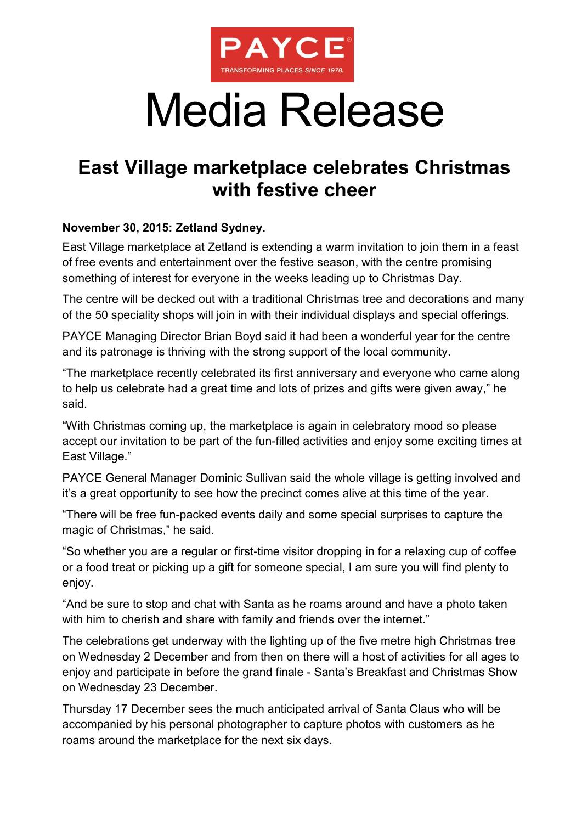

## Media Release

## **East Village marketplace celebrates Christmas with festive cheer**

## **November 30, 2015: Zetland Sydney.**

East Village marketplace at Zetland is extending a warm invitation to join them in a feast of free events and entertainment over the festive season, with the centre promising something of interest for everyone in the weeks leading up to Christmas Day.

The centre will be decked out with a traditional Christmas tree and decorations and many of the 50 speciality shops will join in with their individual displays and special offerings.

PAYCE Managing Director Brian Boyd said it had been a wonderful year for the centre and its patronage is thriving with the strong support of the local community.

"The marketplace recently celebrated its first anniversary and everyone who came along to help us celebrate had a great time and lots of prizes and gifts were given away," he said.

"With Christmas coming up, the marketplace is again in celebratory mood so please accept our invitation to be part of the fun-filled activities and enjoy some exciting times at East Village."

PAYCE General Manager Dominic Sullivan said the whole village is getting involved and it's a great opportunity to see how the precinct comes alive at this time of the year.

"There will be free fun-packed events daily and some special surprises to capture the magic of Christmas," he said.

"So whether you are a regular or first-time visitor dropping in for a relaxing cup of coffee or a food treat or picking up a gift for someone special, I am sure you will find plenty to enjoy.

"And be sure to stop and chat with Santa as he roams around and have a photo taken with him to cherish and share with family and friends over the internet."

The celebrations get underway with the lighting up of the five metre high Christmas tree on Wednesday 2 December and from then on there will a host of activities for all ages to enjoy and participate in before the grand finale - Santa's Breakfast and Christmas Show on Wednesday 23 December.

Thursday 17 December sees the much anticipated arrival of Santa Claus who will be accompanied by his personal photographer to capture photos with customers as he roams around the marketplace for the next six days.